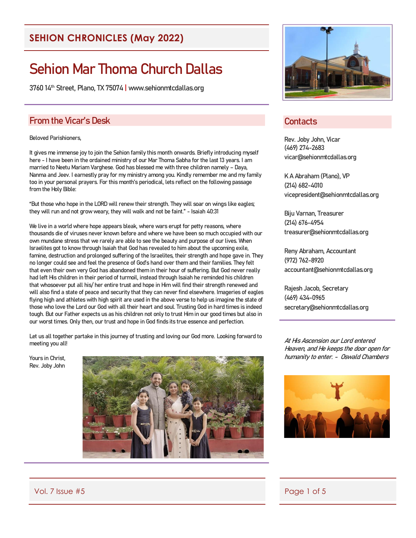#### **SEHION CHRONICLES (May 2022)**

# Sehion Mar Thoma Church Dallas

3760 14th Street, Plano, TX 75074 | www.sehionmtcdallas.org

#### From the Vicar's Desk

#### Beloved Parishioners,

It gives me immense joy to join the Sehion family this month onwards. Briefly introducing myself here - I have been in the ordained ministry of our Mar Thoma Sabha for the last 13 years. I am married to Neetu Mariam Varghese. God has blessed me with three children namely – Daya, Nanma and Jeev. I earnestly pray for my ministry among you. Kindly remember me and my family too in your personal prayers. For this month's periodical, lets reflect on the following passage from the Holy Bible:

"But those who hope in the LORD will renew their strength. They will soar on wings like eagles; they will run and not grow weary, they will walk and not be faint." - Isaiah 40:31

We live in a world where hope appears bleak, where wars erupt for petty reasons, where thousands die of viruses never known before and where we have been so much occupied with our own mundane stress that we rarely are able to see the beauty and purpose of our lives. When Israelites got to know through Isaiah that God has revealed to him about the upcoming exile, famine, destruction and prolonged suffering of the Israelites, their strength and hope gave in. They no longer could see and feel the presence of God's hand over them and their families. They felt that even their own very God has abandoned them in their hour of suffering. But God never really had left His children in their period of turmoil, instead through Isaiah he reminded his children that whosoever put all his/ her entire trust and hope in Him will find their strength renewed and will also find a state of peace and security that they can never find elsewhere. Imageries of eagles flying high and athletes with high spirit are used in the above verse to help us imagine the state of those who love the Lord our God with all their heart and soul. Trusting God in hard times is indeed tough. But our Father expects us as his children not only to trust Him in our good times but also in our worst times. Only then, our trust and hope in God finds its true essence and perfection.

Let us all together partake in this journey of trusting and loving our God more. Looking forward to meeting you all!

Yours in Christ, Rev. Joby John





#### **Contacts**

Rev. Joby John, Vicar (469) 274-2683 vicar@sehionmtcdallas.org

K A Abraham (Plano), VP (214) 682-4010 vicepresident@sehionmtcdallas.org

Biju Varnan, Treasurer (214) 676-4954 treasurer@sehionmtcdallas.org

Reny Abraham, Accountant (972) 762-8920 accountant@sehionmtcdallas.org

Rajesh Jacob, Secretary (469) 434-0965 secretary@sehionmtcdallas.org

At His Ascension our Lord entered Heaven, and He keeps the door open for humanity to enter. - Oswald Chambers



Vol. 7 Issue #5 Page 1 of 5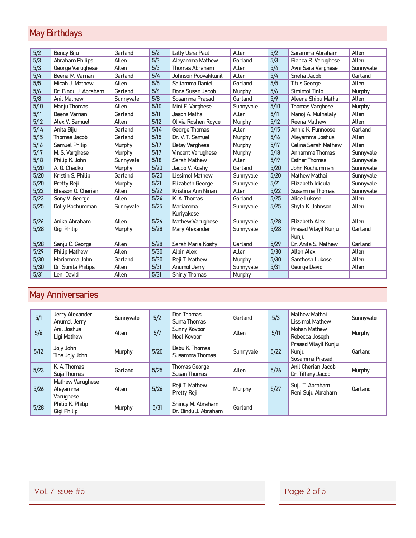# May Birthdays

| 5/2  | Bency Biju             | Garland   | 5/2  | Lally Usha Paul          | Allen     | 5/2  | Saramma Abraham               | Allen     |
|------|------------------------|-----------|------|--------------------------|-----------|------|-------------------------------|-----------|
| 5/3  | <b>Abraham Philips</b> | Allen     | 5/3  | Aleyamma Mathew          | Garland   | 5/3  | Bianca R. Varughese           | Allen     |
| 5/3  | George Varughese       | Allen     | 5/3  | <b>Thomas Abraham</b>    | Allen     | 5/4  | Avni Sara Varghese            | Sunnyvale |
| 5/4  | Beena M. Varnan        | Garland   | 5/4  | Johnson Poovakkunil      | Allen     | 5/4  | Sneha Jacob                   | Garland   |
| 5/5  | Micah J. Mathew        | Allen     | 5/5  | Saliamma Daniel          | Garland   | 5/5  | <b>Titus George</b>           | Allen     |
| 5/6  | Dr. Bindu J. Abraham   | Garland   | 5/6  | Dona Susan Jacob         | Murphy    | 5/6  | Simimol Tinto                 | Murphy    |
| 5/8  | <b>Anil Mathew</b>     | Sunnyvale | 5/8  | Sosamma Prasad           | Garland   | 5/9  | Aleena Shibu Mathai           | Allen     |
| 5/10 | Manju Thomas           | Allen     | 5/10 | Mini E Varghese          | Sunnyvale | 5/10 | <b>Thomas Varghese</b>        | Murphy    |
| 5/11 | Beena Varnan           | Garland   | 5/11 | Jason Mathai             | Allen     | 5/11 | Manoj A. Muthalaly            | Allen     |
| 5/12 | Alex V. Samuel         | Allen     | 5/12 | Olivia Roshen Royce      | Murphy    | 5/12 | Reena Mathew                  | Allen     |
| 5/14 | Anita Biju             | Garland   | 5/14 | George Thomas            | Allen     | 5/15 | Annie K. Punnoose             | Garland   |
| 5/15 | <b>Thomas Jacob</b>    | Garland   | 5/15 | Dr. V. T. Samuel         | Murphy    | 5/16 | Aleyamma Joshua               | Allen     |
| 5/16 | Samuel Philip          | Murphy    | 5/17 | <b>Betsy Varghese</b>    | Murphy    | 5/17 | <b>Celina Sarah Mathew</b>    | Allen     |
| 5/17 | M. S. Varghese         | Murphy    | 5/17 | <b>Vincent Varughese</b> | Murphy    | 5/18 | Annamma Thomas                | Sunnyvale |
| 5/18 | Philip K. John         | Sunnyvale | 5/18 | Sarah Mathew             | Allen     | 5/19 | <b>Esther Thomas</b>          | Sunnyvale |
| 5/20 | A. G. Chacko           | Murphy    | 5/20 | Jacob V. Koshy           | Garland   | 5/20 | John Kochumman                | Sunnyvale |
| 5/20 | Kristin S. Philip      | Garland   | 5/20 | <b>Lissimol Mathew</b>   | Sunnyvale | 5/20 | <b>Mathew Mathai</b>          | Sunnyvale |
| 5/20 | Pretty Reji            | Murphy    | 5/21 | Elizabeth George         | Sunnyvale | 5/21 | Elizabeth Idicula             | Sunnyvale |
| 5/22 | Blesson G. Cherian     | Allen     | 5/22 | Kristina Ann Ninan       | Allen     | 5/22 | Susamma Thomas                | Sunnyvale |
| 5/23 | Sony V. George         | Allen     | 5/24 | K. A. Thomas             | Garland   | 5/25 | Alice Lukose                  | Allen     |
| 5/25 | Dolly Kochumman        | Sunnyvale | 5/25 | Mariamma<br>Kuriyakose   | Sunnyvale | 5/25 | Shyla K. Johnson              | Allen     |
| 5/26 | Anika Abraham          | Allen     | 5/26 | Mathew Varughese         | Sunnyvale | 5/28 | Elizabeth Alex                | Allen     |
| 5/28 | Gigi Philip            | Murphy    | 5/28 | Mary Alexander           | Sunnyvale | 5/28 | Prasad Vilayil Kunju<br>Kunju | Garland   |
| 5/28 | Sanju C. George        | Allen     | 5/28 | Sarah Maria Koshy        | Garland   | 5/29 | Dr. Anita S. Mathew           | Garland   |
| 5/29 | <b>Philip Mathew</b>   | Allen     | 5/30 | <b>Albin Alex</b>        | Allen     | 5/30 | <b>Allen Alex</b>             | Allen     |
| 5/30 | Mariamma John          | Garland   | 5/30 | Reji T. Mathew           | Murphy    | 5/30 | Santhosh Lukose               | Allen     |
| 5/30 | Dr. Sunila Philips     | Allen     | 5/31 | Anumol Jerry             | Sunnyvale | 5/31 | George David                  | Allen     |
| 5/31 | Leni David             | Allen     | 5/31 | <b>Shirly Thomas</b>     | Murphy    |      |                               |           |

# May Anniversaries

| 5/1  | Jerry Alexander<br>Anumol Jerry           | Sunnyvale | 5/2    | Don Thomas<br>Suma Thomas                 | Garland   | 5/3    | Mathew Mathai<br>Lissimol Mathew                | Sunnyvale |
|------|-------------------------------------------|-----------|--------|-------------------------------------------|-----------|--------|-------------------------------------------------|-----------|
| 5/6  | Anil Joshua<br>Ligi Mathew                | Allen     | 5/7    | Sunny Kovoor<br>Noel Kovoor               | Allen     | 5/11   | <b>Mohan Mathew</b><br>Rebecca Joseph           | Murphy    |
| 5/12 | Jojy John<br>Tina Jojy John               | Murphy    | 5/20   | Babu K Thomas<br>Susamma Thomas           | Sunnyvale | 5/22   | Prasad Vilayil Kunju<br>Kunju<br>Sosamma Prasad | Garland   |
| 5/23 | K. A. Thomas<br>Suja Thomas               | Garland   | 5/25   | Thomas George<br>Susan Thomas             | Allen     | $5/26$ | Anil Cherian Jacob<br>Dr. Tiffany Jacob         | Murphy    |
| 5/26 | Mathew Varughese<br>Aleyamma<br>Varughese | Allen     | $5/26$ | Reji T. Mathew<br>Pretty Reji             | Murphy    | 5/27   | Suju T. Abraham<br>Reni Suju Abraham            | Garland   |
| 5/28 | Philip K Philip<br>Gigi Philip            | Murphy    | 5/31   | Shincy M. Abraham<br>Dr. Bindu J. Abraham | Garland   |        |                                                 |           |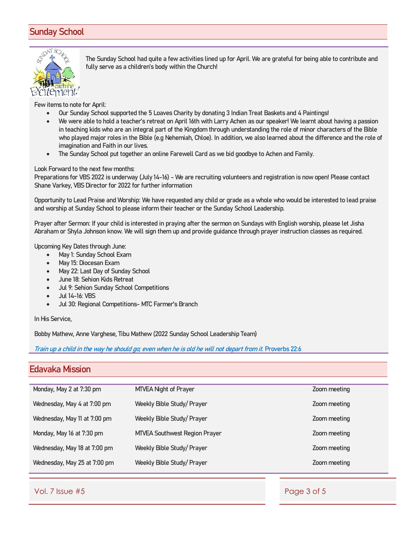#### Sunday School



The Sunday School had quite a few activities lined up for April. We are grateful for being able to contribute and fully serve as a children's body within the Church!

Few items to note for April:

- Our Sunday School supported the 5 Loaves Charity by donating 3 Indian Treat Baskets and 4 Paintings!
- We were able to hold a teacher's retreat on April 16th with Larry Achen as our speaker! We learnt about having a passion in teaching kids who are an integral part of the Kingdom through understanding the role of minor characters of the Bible who played major roles in the Bible (e.g Nehemiah, Chloe). In addition, we also learned about the difference and the role of imagination and Faith in our lives.
- The Sunday School put together an online Farewell Card as we bid goodbye to Achen and Family.

Look Forward to the next few months:

Preparations for VBS 2022 is underway (July 14-16) - We are recruiting volunteers and registration is now open! Please contact Shane Varkey, VBS Director for 2022 for further information

Opportunity to Lead Praise and Worship: We have requested any child or grade as a whole who would be interested to lead praise and worship at Sunday School to please inform their teacher or the Sunday School Leadership.

Prayer after Sermon: If your child is interested in praying after the sermon on Sundays with English worship, please let Jisha Abraham or Shyla Johnson know. We will sign them up and provide guidance through prayer instruction classes as required.

Upcoming Key Dates through June:

- May 1: Sunday School Exam
- May 15: Diocesan Exam
- May 22: Last Day of Sunday School
- June 18: Sehion Kids Retreat
- Jul 9: Sehion Sunday School Competitions
- Jul 14-16: VBS
- Jul 30: Regional Competitions- MTC Farmer's Branch

#### In His Service,

Bobby Mathew, Anne Varghese, Tibu Mathew (2022 Sunday School Leadership Team)

Train up a child in the way he should go; even when he is old he will not depart from it. Proverbs 22:6

#### Edavaka Mission

| MTVEA Night of Prayer                | Zoom meeting |
|--------------------------------------|--------------|
| Weekly Bible Study/ Prayer           | Zoom meeting |
| Weekly Bible Study/ Prayer           | Zoom meeting |
| <b>MTVEA Southwest Region Prayer</b> | Zoom meeting |
| Weekly Bible Study/ Prayer           | Zoom meeting |
| Weekly Bible Study/ Prayer           | Zoom meeting |
|                                      |              |

Vol. 7 Issue #5 Page 3 of 5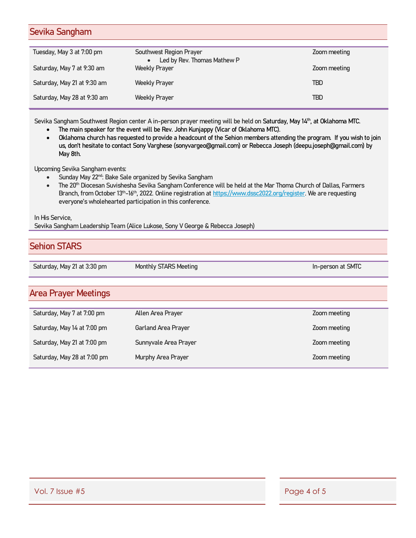#### Sevika Sangham

| Tuesday, May 3 at 7:00 pm   | Southwest Region Prayer       | Zoom meeting |
|-----------------------------|-------------------------------|--------------|
|                             | • Led by Rev. Thomas Mathew P |              |
| Saturday, May 7 at 9:30 am  | <b>Weekly Prayer</b>          | Zoom meeting |
|                             |                               |              |
| Saturday, May 21 at 9:30 am | Weekly Prayer                 | <b>TBD</b>   |
|                             |                               |              |
| Saturday, May 28 at 9:30 am | <b>Weekly Prayer</b>          | TBD          |
|                             |                               |              |

Sevika Sangham Southwest Region center A in-person prayer meeting will be held on Saturday, May 14th, at Oklahoma MTC.

- The main speaker for the event will be Rev. John Kunjappy (Vicar of Oklahoma MTC).
- Oklahoma church has requested to provide a headcount of the Sehion members attending the program. If you wish to join us, don't hesitate to contact Sony Varghese (sonyvargeo@gmail.com) or Rebecca Joseph (deepu.joseph@gmail.com) by May 8th.

Upcoming Sevika Sangham events:

- Sunday May 22<sup>nd</sup>: Bake Sale organized by Sevika Sangham
- The 20<sup>th</sup> Diocesan Suvishesha Sevika Sangham Conference will be held at the Mar Thoma Church of Dallas, Farmers Branch, from October 13<sup>th</sup>-16<sup>th</sup>, 2022. Online registration at [https://www.dssc2022.org/register.](https://www.dssc2022.org/register) We are requesting everyone's wholehearted participation in this conference.

In His Service,

Sevika Sangham Leadership Team (Alice Lukose, Sony V George & Rebecca Joseph)

#### Sehion STARS

Saturday, May 21 at 3:30 pm Monthly STARS Meeting In-person at SMTC

#### Area Prayer Meetings

| Saturday, May 7 at 7:00 pm  | Allen Area Prayer     | Zoom meeting |
|-----------------------------|-----------------------|--------------|
| Saturday, May 14 at 7:00 pm | Garland Area Prayer   | Zoom meeting |
| Saturday, May 21 at 7:00 pm | Sunnyvale Area Prayer | Zoom meeting |
| Saturday, May 28 at 7:00 pm | Murphy Area Prayer    | Zoom meeting |
|                             |                       |              |